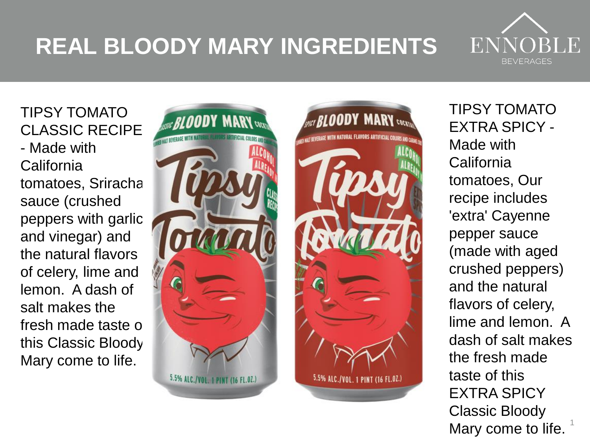## **REAL BLOODY MARY INGREDIENTS**



TIPSY TOMATO CLASSIC RECIPE - Made with California tomatoes, Sriracha sauce (crushed peppers with garlic and vinegar) and the natural flavors of celery, lime and lemon. A dash of salt makes the fresh made taste of this Classic Bloody Mary come to life.





1 TIPSY TOMATO EXTRA SPICY - Made with **California** tomatoes, Our recipe includes 'extra' Cayenne pepper sauce (made with aged crushed peppers) and the natural flavors of celery, lime and lemon. A dash of salt makes the fresh made taste of this EXTRA SPICY Classic Bloody Mary come to life.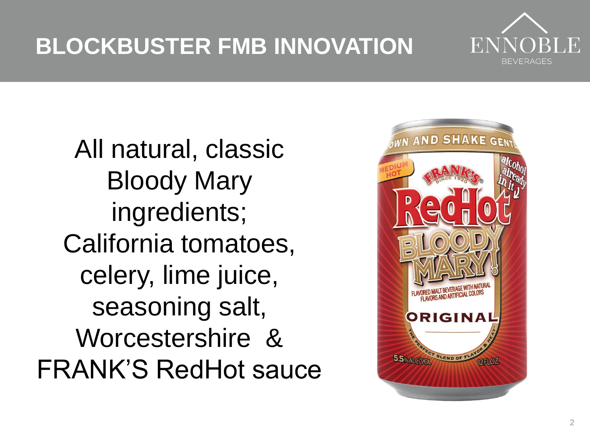## **BLOCKBUSTER FMB INNOVATION**



All natural, classic Bloody Mary ingredients; California tomatoes, celery, lime juice, seasoning salt, Worcestershire & FRANK'S RedHot sauce